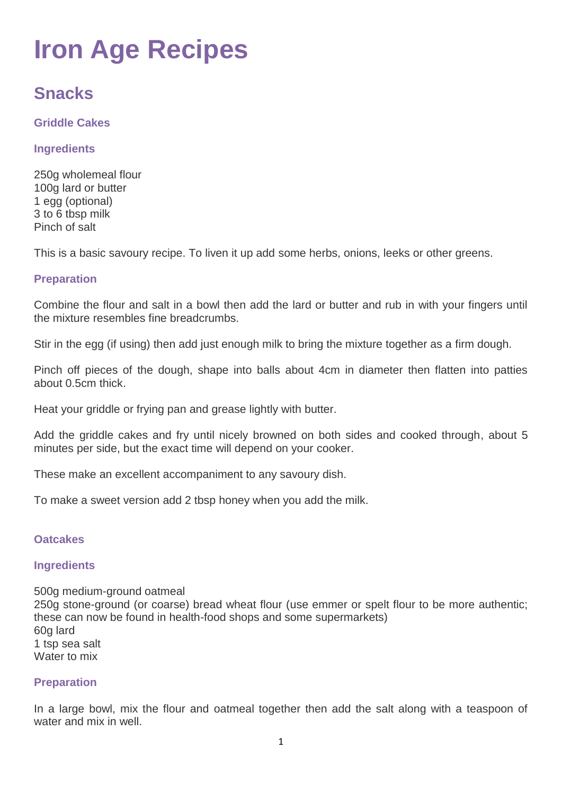# **Iron Age Recipes**

# **Snacks**

# **Griddle Cakes**

# **Ingredients**

250g wholemeal flour 100g lard or butter 1 egg (optional) 3 to 6 tbsp milk Pinch of salt

This is a basic savoury recipe. To liven it up add some herbs, onions, leeks or other greens.

# **Preparation**

Combine the flour and salt in a bowl then add the lard or butter and rub in with your fingers until the mixture resembles fine breadcrumbs.

Stir in the egg (if using) then add just enough milk to bring the mixture together as a firm dough.

Pinch off pieces of the dough, shape into balls about 4cm in diameter then flatten into patties about 0.5cm thick.

Heat your griddle or frying pan and grease lightly with butter.

Add the griddle cakes and fry until nicely browned on both sides and cooked through, about 5 minutes per side, but the exact time will depend on your cooker.

These make an excellent accompaniment to any savoury dish.

To make a sweet version add 2 tbsp honey when you add the milk.

# **Oatcakes**

# **Ingredients**

500g medium-ground oatmeal 250g stone-ground (or coarse) bread wheat flour (use emmer or spelt flour to be more authentic; these can now be found in health-food shops and some supermarkets) 60g lard 1 tsp sea salt Water to mix

# **Preparation**

In a large bowl, mix the flour and oatmeal together then add the salt along with a teaspoon of water and mix in well.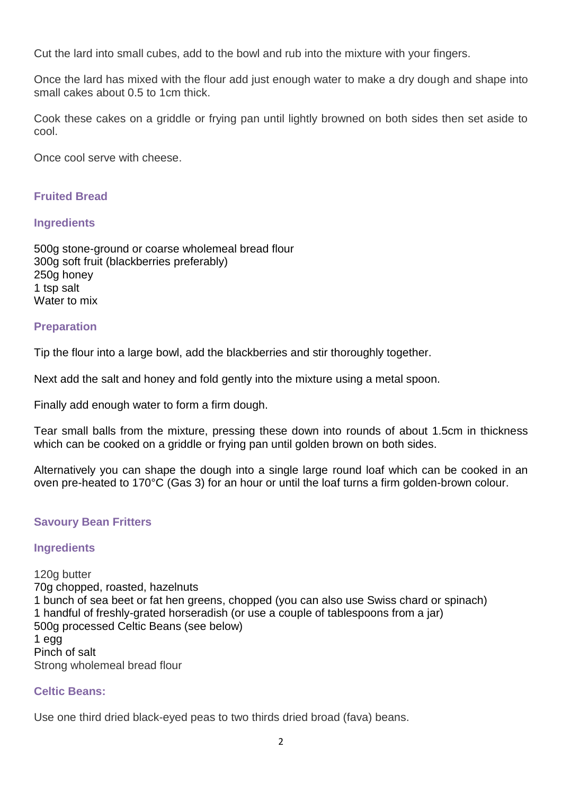Cut the lard into small cubes, add to the bowl and rub into the mixture with your fingers.

Once the lard has mixed with the flour add just enough water to make a dry dough and shape into small cakes about 0.5 to 1cm thick.

Cook these cakes on a griddle or frying pan until lightly browned on both sides then set aside to cool.

Once cool serve with cheese.

# **Fruited Bread**

#### **Ingredients**

500g stone-ground or coarse wholemeal bread flour 300g soft fruit (blackberries preferably) 250g honey 1 tsp salt Water to mix

#### **Preparation**

Tip the flour into a large bowl, add the blackberries and stir thoroughly together.

Next add the salt and honey and fold gently into the mixture using a metal spoon.

Finally add enough water to form a firm dough.

Tear small balls from the mixture, pressing these down into rounds of about 1.5cm in thickness which can be cooked on a griddle or frying pan until golden brown on both sides.

Alternatively you can shape the dough into a single large round loaf which can be cooked in an oven pre-heated to 170°C (Gas 3) for an hour or until the loaf turns a firm golden-brown colour.

# **Savoury Bean Fritters**

#### **Ingredients**

120g butter 70g chopped, roasted, [hazelnuts](http://www.celtnet.org.uk/recipes/ancient/wild-food-entry.php?term=Hazel) 1 bunch of [sea beet](http://www.celtnet.org.uk/recipes/ancient/wild-food-entry.php?term=Sea%20Beet) or [fat hen greens,](http://www.celtnet.org.uk/recipes/ancient/wild-food-entry.php?term=Fat%20Hen) chopped (you can also use Swiss chard or spinach) 1 handful of freshly-grated [horseradish](http://www.celtnet.org.uk/recipes/ancient/wild-food-entry.php?term=Horseradish) (or use a couple of tablespoons from a jar) 500g processed Celtic Beans (see below) 1 egg Pinch of salt Strong wholemeal bread flour

# **Celtic Beans:**

Use one third dried black-eyed peas to two thirds dried broad (fava) beans.